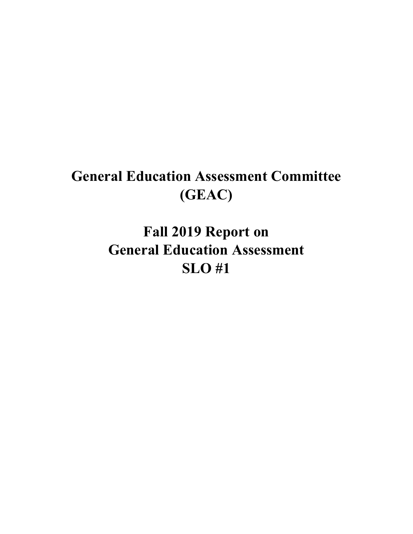# **General Education Assessment Committee (GEAC)**

**Fall 2019 Report on General Education Assessment SLO #1**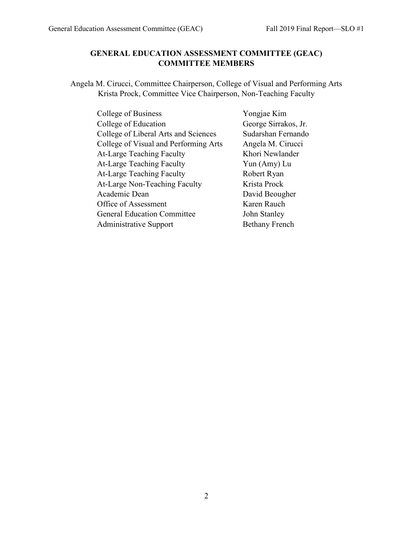# **GENERAL EDUCATION ASSESSMENT COMMITTEE (GEAC) COMMITTEE MEMBERS**

Angela M. Cirucci, Committee Chairperson, College of Visual and Performing Arts Krista Prock, Committee Vice Chairperson, Non-Teaching Faculty

| College of Business                   | Yongjae Kim           |
|---------------------------------------|-----------------------|
| College of Education                  | George Sirrakos, Jr.  |
| College of Liberal Arts and Sciences  | Sudarshan Fernando    |
| College of Visual and Performing Arts | Angela M. Cirucci     |
| At-Large Teaching Faculty             | Khori Newlander       |
| At-Large Teaching Faculty             | Yun (Amy) Lu          |
| <b>At-Large Teaching Faculty</b>      | Robert Ryan           |
| At-Large Non-Teaching Faculty         | Krista Prock          |
| Academic Dean                         | David Beougher        |
| Office of Assessment                  | Karen Rauch           |
| <b>General Education Committee</b>    | John Stanley          |
| Administrative Support                | <b>Bethany French</b> |

2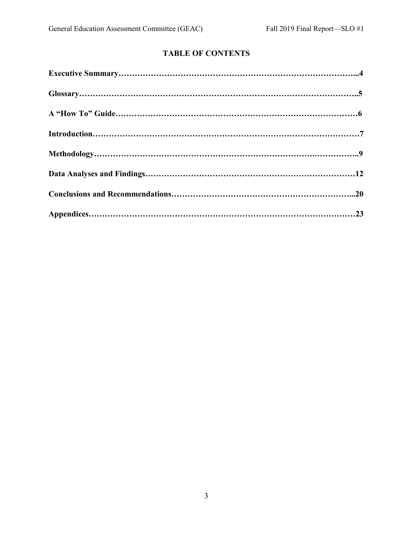# **TABLE OF CONTENTS**

| $\begin{minipage}{.4\linewidth} \textbf{Glossary}.\textcolor{blue}{.}\textcolor{blue}{.}\textbf{S} \end{minipage}$ |  |
|--------------------------------------------------------------------------------------------------------------------|--|
|                                                                                                                    |  |
|                                                                                                                    |  |
|                                                                                                                    |  |
|                                                                                                                    |  |
|                                                                                                                    |  |
|                                                                                                                    |  |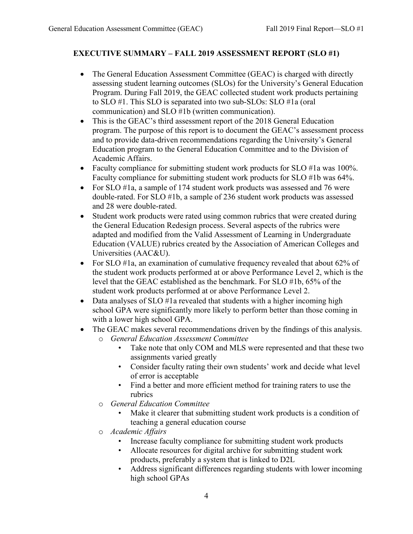## **EXECUTIVE SUMMARY – FALL 2019 ASSESSMENT REPORT (SLO #1)**

- The General Education Assessment Committee (GEAC) is charged with directly assessing student learning outcomes (SLOs) for the University's General Education Program. During Fall 2019, the GEAC collected student work products pertaining to SLO #1. This SLO is separated into two sub-SLOs: SLO #1a (oral communication) and SLO #1b (written communication).
- This is the GEAC's third assessment report of the 2018 General Education program. The purpose of this report is to document the GEAC's assessment process and to provide data-driven recommendations regarding the University's General Education program to the General Education Committee and to the Division of Academic Affairs.
- Faculty compliance for submitting student work products for SLO #1a was 100%. Faculty compliance for submitting student work products for SLO #1b was 64%.
- For SLO #1a, a sample of 174 student work products was assessed and 76 were double-rated. For SLO #1b, a sample of 236 student work products was assessed and 28 were double-rated.
- Student work products were rated using common rubrics that were created during the General Education Redesign process. Several aspects of the rubrics were adapted and modified from the Valid Assessment of Learning in Undergraduate Education (VALUE) rubrics created by the Association of American Colleges and Universities (AAC&U).
- For SLO #1a, an examination of cumulative frequency revealed that about 62% of the student work products performed at or above Performance Level 2, which is the level that the GEAC established as the benchmark. For SLO #1b, 65% of the student work products performed at or above Performance Level 2.
- Data analyses of SLO #1a revealed that students with a higher incoming high school GPA were significantly more likely to perform better than those coming in with a lower high school GPA.
- The GEAC makes several recommendations driven by the findings of this analysis.
	- o *General Education Assessment Committee*
		- Take note that only COM and MLS were represented and that these two assignments varied greatly
		- Consider faculty rating their own students' work and decide what level of error is acceptable
		- Find a better and more efficient method for training raters to use the rubrics
	- o *General Education Committee*
		- Make it clearer that submitting student work products is a condition of teaching a general education course
	- o *Academic Affairs*
		- Increase faculty compliance for submitting student work products
		- Allocate resources for digital archive for submitting student work products, preferably a system that is linked to D2L
		- Address significant differences regarding students with lower incoming high school GPAs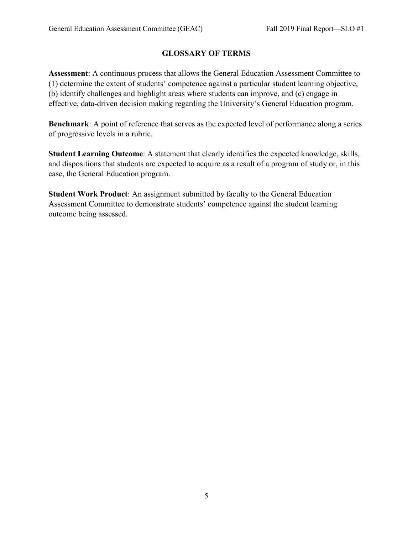# **GLOSSARY OF TERMS**

**Assessment**: A continuous process that allows the General Education Assessment Committee to (1) determine the extent of students' competence against a particular student learning objective, (b) identify challenges and highlight areas where students can improve, and (c) engage in effective, data-driven decision making regarding the University's General Education program.

**Benchmark**: A point of reference that serves as the expected level of performance along a series of progressive levels in a rubric.

**Student Learning Outcome**: A statement that clearly identifies the expected knowledge, skills, and dispositions that students are expected to acquire as a result of a program of study or, in this case, the General Education program.

**Student Work Product**: An assignment submitted by faculty to the General Education Assessment Committee to demonstrate students' competence against the student learning outcome being assessed.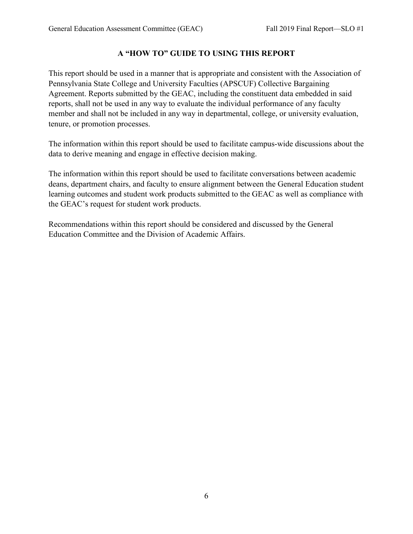# **A "HOW TO" GUIDE TO USING THIS REPORT**

This report should be used in a manner that is appropriate and consistent with the Association of Pennsylvania State College and University Faculties (APSCUF) Collective Bargaining Agreement. Reports submitted by the GEAC, including the constituent data embedded in said reports, shall not be used in any way to evaluate the individual performance of any faculty member and shall not be included in any way in departmental, college, or university evaluation, tenure, or promotion processes.

The information within this report should be used to facilitate campus-wide discussions about the data to derive meaning and engage in effective decision making.

The information within this report should be used to facilitate conversations between academic deans, department chairs, and faculty to ensure alignment between the General Education student learning outcomes and student work products submitted to the GEAC as well as compliance with the GEAC's request for student work products.

Recommendations within this report should be considered and discussed by the General Education Committee and the Division of Academic Affairs.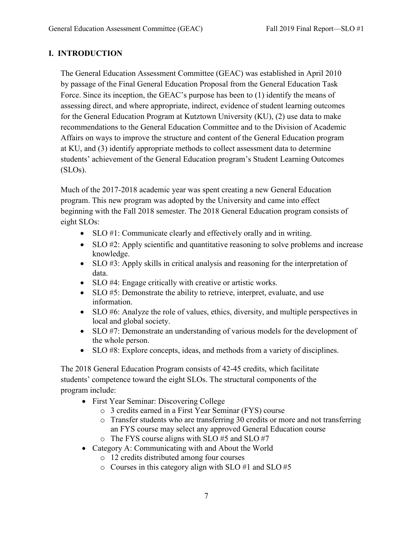## **I. INTRODUCTION**

The General Education Assessment Committee (GEAC) was established in April 2010 by passage of the Final General Education Proposal from the General Education Task Force. Since its inception, the GEAC's purpose has been to (1) identify the means of assessing direct, and where appropriate, indirect, evidence of student learning outcomes for the General Education Program at Kutztown University (KU), (2) use data to make recommendations to the General Education Committee and to the Division of Academic Affairs on ways to improve the structure and content of the General Education program at KU, and (3) identify appropriate methods to collect assessment data to determine students' achievement of the General Education program's Student Learning Outcomes (SLOs).

Much of the 2017-2018 academic year was spent creating a new General Education program. This new program was adopted by the University and came into effect beginning with the Fall 2018 semester. The 2018 General Education program consists of eight SLOs:

- SLO #1: Communicate clearly and effectively orally and in writing.
- SLO #2: Apply scientific and quantitative reasoning to solve problems and increase knowledge.
- SLO #3: Apply skills in critical analysis and reasoning for the interpretation of data.
- SLO #4: Engage critically with creative or artistic works.
- SLO #5: Demonstrate the ability to retrieve, interpret, evaluate, and use information.
- SLO #6: Analyze the role of values, ethics, diversity, and multiple perspectives in local and global society.
- SLO #7: Demonstrate an understanding of various models for the development of the whole person.
- SLO #8: Explore concepts, ideas, and methods from a variety of disciplines.

The 2018 General Education Program consists of 42-45 credits, which facilitate students' competence toward the eight SLOs. The structural components of the program include:

- First Year Seminar: Discovering College
	- o 3 credits earned in a First Year Seminar (FYS) course
	- o Transfer students who are transferring 30 credits or more and not transferring an FYS course may select any approved General Education course
	- o The FYS course aligns with SLO #5 and SLO #7
- Category A: Communicating with and About the World
	- o 12 credits distributed among four courses
	- o Courses in this category align with SLO #1 and SLO #5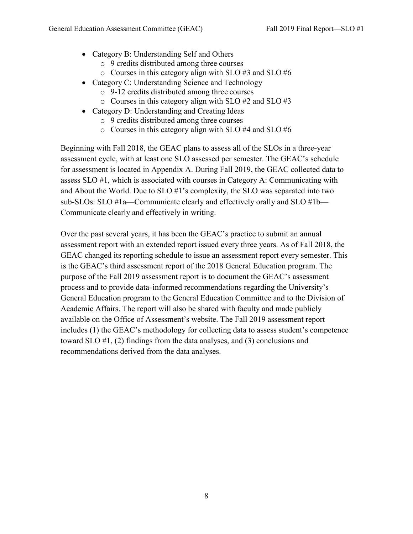- Category B: Understanding Self and Others
	- o 9 credits distributed among three courses
	- $\circ$  Courses in this category align with SLO #3 and SLO #6
- Category C: Understanding Science and Technology
	- o 9-12 credits distributed among three courses
	- $\circ$  Courses in this category align with SLO #2 and SLO #3
- Category D: Understanding and Creating Ideas
	- o 9 credits distributed among three courses
	- o Courses in this category align with SLO #4 and SLO #6

Beginning with Fall 2018, the GEAC plans to assess all of the SLOs in a three-year assessment cycle, with at least one SLO assessed per semester. The GEAC's schedule for assessment is located in Appendix A. During Fall 2019, the GEAC collected data to assess SLO #1, which is associated with courses in Category A: Communicating with and About the World. Due to SLO #1's complexity, the SLO was separated into two sub-SLOs: SLO #1a—Communicate clearly and effectively orally and SLO #1b— Communicate clearly and effectively in writing.

Over the past several years, it has been the GEAC's practice to submit an annual assessment report with an extended report issued every three years. As of Fall 2018, the GEAC changed its reporting schedule to issue an assessment report every semester. This is the GEAC's third assessment report of the 2018 General Education program. The purpose of the Fall 2019 assessment report is to document the GEAC's assessment process and to provide data-informed recommendations regarding the University's General Education program to the General Education Committee and to the Division of Academic Affairs. The report will also be shared with faculty and made publicly available on the Office of Assessment's website. The Fall 2019 assessment report includes (1) the GEAC's methodology for collecting data to assess student's competence toward SLO #1, (2) findings from the data analyses, and (3) conclusions and recommendations derived from the data analyses.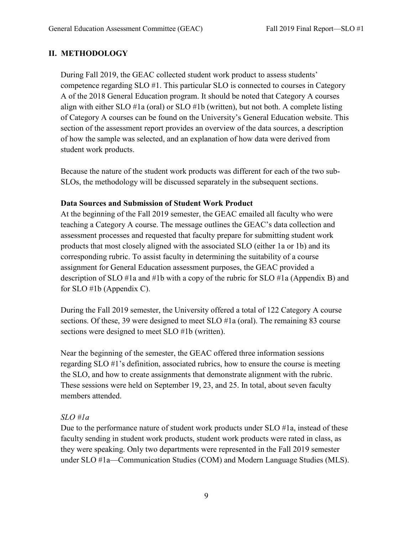## **II. METHODOLOGY**

During Fall 2019, the GEAC collected student work product to assess students' competence regarding SLO #1. This particular SLO is connected to courses in Category A of the 2018 General Education program. It should be noted that Category A courses align with either SLO #1a (oral) or SLO #1b (written), but not both. A complete listing of Category A courses can be found on the University's General Education website. This section of the assessment report provides an overview of the data sources, a description of how the sample was selected, and an explanation of how data were derived from student work products.

Because the nature of the student work products was different for each of the two sub-SLOs, the methodology will be discussed separately in the subsequent sections.

### **Data Sources and Submission of Student Work Product**

At the beginning of the Fall 2019 semester, the GEAC emailed all faculty who were teaching a Category A course. The message outlines the GEAC's data collection and assessment processes and requested that faculty prepare for submitting student work products that most closely aligned with the associated SLO (either 1a or 1b) and its corresponding rubric. To assist faculty in determining the suitability of a course assignment for General Education assessment purposes, the GEAC provided a description of SLO #1a and #1b with a copy of the rubric for SLO #1a (Appendix B) and for SLO #1b (Appendix C).

During the Fall 2019 semester, the University offered a total of 122 Category A course sections. Of these, 39 were designed to meet SLO #1a (oral). The remaining 83 course sections were designed to meet SLO #1b (written).

Near the beginning of the semester, the GEAC offered three information sessions regarding SLO #1's definition, associated rubrics, how to ensure the course is meeting the SLO, and how to create assignments that demonstrate alignment with the rubric. These sessions were held on September 19, 23, and 25. In total, about seven faculty members attended.

## *SLO #1a*

Due to the performance nature of student work products under SLO #1a, instead of these faculty sending in student work products, student work products were rated in class, as they were speaking. Only two departments were represented in the Fall 2019 semester under SLO #1a—Communication Studies (COM) and Modern Language Studies (MLS).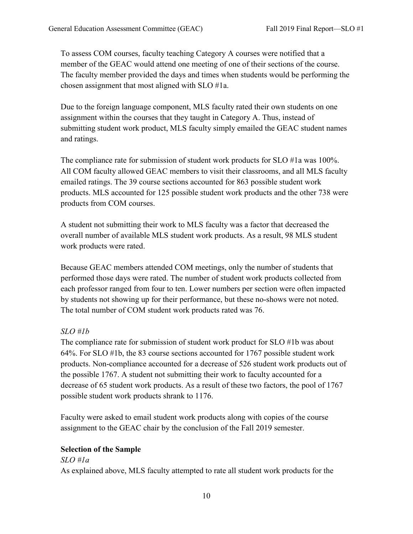To assess COM courses, faculty teaching Category A courses were notified that a member of the GEAC would attend one meeting of one of their sections of the course. The faculty member provided the days and times when students would be performing the chosen assignment that most aligned with SLO #1a.

Due to the foreign language component, MLS faculty rated their own students on one assignment within the courses that they taught in Category A. Thus, instead of submitting student work product, MLS faculty simply emailed the GEAC student names and ratings.

The compliance rate for submission of student work products for SLO #1a was 100%. All COM faculty allowed GEAC members to visit their classrooms, and all MLS faculty emailed ratings. The 39 course sections accounted for 863 possible student work products. MLS accounted for 125 possible student work products and the other 738 were products from COM courses.

A student not submitting their work to MLS faculty was a factor that decreased the overall number of available MLS student work products. As a result, 98 MLS student work products were rated.

Because GEAC members attended COM meetings, only the number of students that performed those days were rated. The number of student work products collected from each professor ranged from four to ten. Lower numbers per section were often impacted by students not showing up for their performance, but these no-shows were not noted. The total number of COM student work products rated was 76.

## *SLO #1b*

The compliance rate for submission of student work product for SLO #1b was about 64%. For SLO #1b, the 83 course sections accounted for 1767 possible student work products. Non-compliance accounted for a decrease of 526 student work products out of the possible 1767. A student not submitting their work to faculty accounted for a decrease of 65 student work products. As a result of these two factors, the pool of 1767 possible student work products shrank to 1176.

Faculty were asked to email student work products along with copies of the course assignment to the GEAC chair by the conclusion of the Fall 2019 semester.

## **Selection of the Sample**

#### *SLO #1a*

As explained above, MLS faculty attempted to rate all student work products for the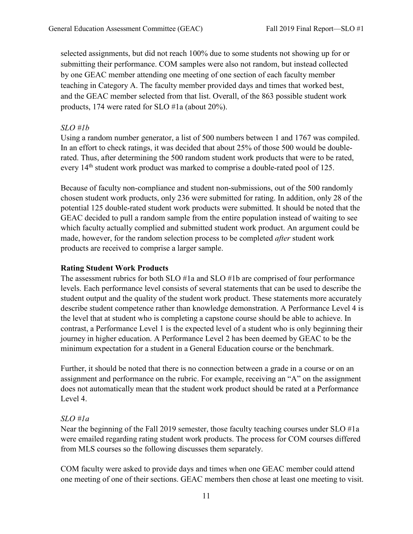selected assignments, but did not reach 100% due to some students not showing up for or submitting their performance. COM samples were also not random, but instead collected by one GEAC member attending one meeting of one section of each faculty member teaching in Category A. The faculty member provided days and times that worked best, and the GEAC member selected from that list. Overall, of the 863 possible student work products, 174 were rated for SLO #1a (about 20%).

#### *SLO #1b*

Using a random number generator, a list of 500 numbers between 1 and 1767 was compiled. In an effort to check ratings, it was decided that about 25% of those 500 would be doublerated. Thus, after determining the 500 random student work products that were to be rated, every 14<sup>th</sup> student work product was marked to comprise a double-rated pool of 125.

Because of faculty non-compliance and student non-submissions, out of the 500 randomly chosen student work products, only 236 were submitted for rating. In addition, only 28 of the potential 125 double-rated student work products were submitted. It should be noted that the GEAC decided to pull a random sample from the entire population instead of waiting to see which faculty actually complied and submitted student work product. An argument could be made, however, for the random selection process to be completed *after* student work products are received to comprise a larger sample.

#### **Rating Student Work Products**

The assessment rubrics for both SLO #1a and SLO #1b are comprised of four performance levels. Each performance level consists of several statements that can be used to describe the student output and the quality of the student work product. These statements more accurately describe student competence rather than knowledge demonstration. A Performance Level 4 is the level that at student who is completing a capstone course should be able to achieve. In contrast, a Performance Level 1 is the expected level of a student who is only beginning their journey in higher education. A Performance Level 2 has been deemed by GEAC to be the minimum expectation for a student in a General Education course or the benchmark.

Further, it should be noted that there is no connection between a grade in a course or on an assignment and performance on the rubric. For example, receiving an "A" on the assignment does not automatically mean that the student work product should be rated at a Performance Level 4.

#### *SLO #1a*

Near the beginning of the Fall 2019 semester, those faculty teaching courses under SLO #1a were emailed regarding rating student work products. The process for COM courses differed from MLS courses so the following discusses them separately.

COM faculty were asked to provide days and times when one GEAC member could attend one meeting of one of their sections. GEAC members then chose at least one meeting to visit.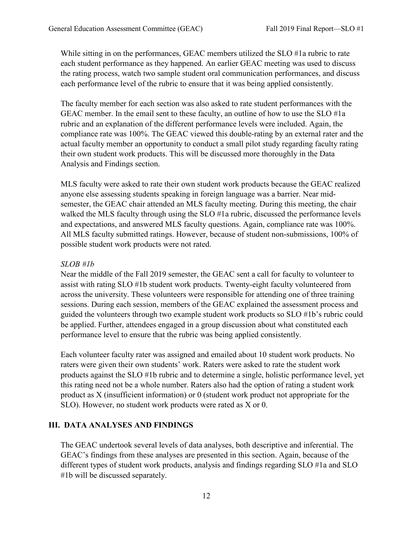While sitting in on the performances, GEAC members utilized the SLO #1a rubric to rate each student performance as they happened. An earlier GEAC meeting was used to discuss the rating process, watch two sample student oral communication performances, and discuss each performance level of the rubric to ensure that it was being applied consistently.

The faculty member for each section was also asked to rate student performances with the GEAC member. In the email sent to these faculty, an outline of how to use the SLO #1a rubric and an explanation of the different performance levels were included. Again, the compliance rate was 100%. The GEAC viewed this double-rating by an external rater and the actual faculty member an opportunity to conduct a small pilot study regarding faculty rating their own student work products. This will be discussed more thoroughly in the Data Analysis and Findings section.

MLS faculty were asked to rate their own student work products because the GEAC realized anyone else assessing students speaking in foreign language was a barrier. Near midsemester, the GEAC chair attended an MLS faculty meeting. During this meeting, the chair walked the MLS faculty through using the SLO #1a rubric, discussed the performance levels and expectations, and answered MLS faculty questions. Again, compliance rate was 100%. All MLS faculty submitted ratings. However, because of student non-submissions, 100% of possible student work products were not rated.

#### *SLOB #1b*

Near the middle of the Fall 2019 semester, the GEAC sent a call for faculty to volunteer to assist with rating SLO #1b student work products. Twenty-eight faculty volunteered from across the university. These volunteers were responsible for attending one of three training sessions. During each session, members of the GEAC explained the assessment process and guided the volunteers through two example student work products so SLO #1b's rubric could be applied. Further, attendees engaged in a group discussion about what constituted each performance level to ensure that the rubric was being applied consistently.

Each volunteer faculty rater was assigned and emailed about 10 student work products. No raters were given their own students' work. Raters were asked to rate the student work products against the SLO #1b rubric and to determine a single, holistic performance level, yet this rating need not be a whole number. Raters also had the option of rating a student work product as X (insufficient information) or 0 (student work product not appropriate for the SLO). However, no student work products were rated as X or 0.

#### **III. DATA ANALYSES AND FINDINGS**

The GEAC undertook several levels of data analyses, both descriptive and inferential. The GEAC's findings from these analyses are presented in this section. Again, because of the different types of student work products, analysis and findings regarding SLO #1a and SLO #1b will be discussed separately.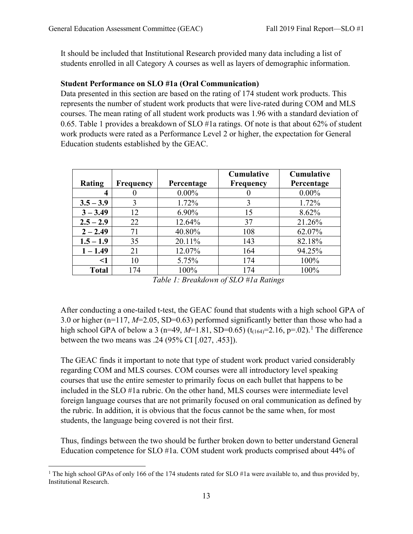It should be included that Institutional Research provided many data including a list of students enrolled in all Category A courses as well as layers of demographic information.

## **Student Performance on SLO #1a (Oral Communication)**

Data presented in this section are based on the rating of 174 student work products. This represents the number of student work products that were live-rated during COM and MLS courses. The mean rating of all student work products was 1.96 with a standard deviation of 0.65. Table 1 provides a breakdown of SLO #1a ratings. Of note is that about 62% of student work products were rated as a Performance Level 2 or higher, the expectation for General Education students established by the GEAC.

| <b>Rating</b> | <b>Frequency</b> | Percentage | Cumulative<br><b>Frequency</b> | <b>Cumulative</b><br>Percentage |
|---------------|------------------|------------|--------------------------------|---------------------------------|
|               |                  |            |                                |                                 |
| 4             |                  | $0.00\%$   |                                | $0.00\%$                        |
| $3.5 - 3.9$   | 3                | 1.72%      |                                | 1.72%                           |
| $3 - 3.49$    | 12               | 6.90%      | 15                             | 8.62%                           |
| $2.5 - 2.9$   | 22               | 12.64%     | 37                             | 21.26%                          |
| $2 - 2.49$    | 71               | 40.80%     | 108                            | 62.07%                          |
| $1.5 - 1.9$   | 35               | 20.11%     | 143                            | 82.18%                          |
| $1 - 1.49$    | 21               | 12.07%     | 164                            | 94.25%                          |
| <1            | 10               | 5.75%      | 174                            | 100%                            |
| <b>Total</b>  | 174              | 100%       | 174                            | 100%                            |

After conducting a one-tailed t-test, the GEAC found that students with a high school GPA of 3.0 or higher (n=117, *M*=2.05, SD=0.63) performed significantly better than those who had a high school GPA of below a 3 (n=49,  $M=1.81$  $M=1.81$  $M=1.81$ , SD=0.65) (t<sub>(164)</sub>=2.16, p=.02).<sup>1</sup> The difference between the two means was .24 (95% CI [.027, .453]).

The GEAC finds it important to note that type of student work product varied considerably regarding COM and MLS courses. COM courses were all introductory level speaking courses that use the entire semester to primarily focus on each bullet that happens to be included in the SLO #1a rubric. On the other hand, MLS courses were intermediate level foreign language courses that are not primarily focused on oral communication as defined by the rubric. In addition, it is obvious that the focus cannot be the same when, for most students, the language being covered is not their first.

Thus, findings between the two should be further broken down to better understand General Education competence for SLO #1a. COM student work products comprised about 44% of

<span id="page-12-0"></span><sup>&</sup>lt;sup>1</sup> The high school GPAs of only 166 of the 174 students rated for SLO #1a were available to, and thus provided by, Institutional Research.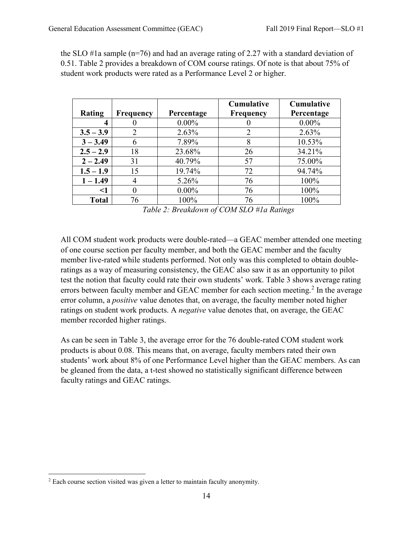|               |                  |            | <b>Cumulative</b> | Cumulative |
|---------------|------------------|------------|-------------------|------------|
| <b>Rating</b> | <b>Frequency</b> | Percentage | <b>Frequency</b>  | Percentage |
| 4             |                  | $0.00\%$   |                   | $0.00\%$   |
| $3.5 - 3.9$   |                  | 2.63%      |                   | 2.63%      |
| $3 - 3.49$    | 6                | 7.89%      | 8                 | 10.53%     |
| $2.5 - 2.9$   | 18               | 23.68%     | 26                | 34.21%     |
| $2 - 2.49$    | 31               | 40.79%     | 57                | 75.00%     |
| $1.5 - 1.9$   | 15               | 19.74%     | 72                | 94.74%     |
| $1 - 1.49$    |                  | 5.26%      | 76                | 100%       |
| <1            |                  | $0.00\%$   | 76                | 100%       |
| <b>Total</b>  | 76               | 100%       | 76                | 100%       |

the SLO #1a sample ( $n=76$ ) and had an average rating of 2.27 with a standard deviation of 0.51. Table 2 provides a breakdown of COM course ratings. Of note is that about 75% of student work products were rated as a Performance Level 2 or higher.

*Table 2: Breakdown of COM SLO #1a Ratings*

All COM student work products were double-rated—a GEAC member attended one meeting of one course section per faculty member, and both the GEAC member and the faculty member live-rated while students performed. Not only was this completed to obtain doubleratings as a way of measuring consistency, the GEAC also saw it as an opportunity to pilot test the notion that faculty could rate their own students' work. Table 3 shows average rating errors between faculty member and GEAC member for each section meeting.<sup>[2](#page-13-0)</sup> In the average error column, a *positive* value denotes that, on average, the faculty member noted higher ratings on student work products. A *negative* value denotes that, on average, the GEAC member recorded higher ratings.

As can be seen in Table 3, the average error for the 76 double-rated COM student work products is about 0.08. This means that, on average, faculty members rated their own students' work about 8% of one Performance Level higher than the GEAC members. As can be gleaned from the data, a t-test showed no statistically significant difference between faculty ratings and GEAC ratings.

<span id="page-13-0"></span><sup>&</sup>lt;sup>2</sup> Each course section visited was given a letter to maintain faculty anonymity.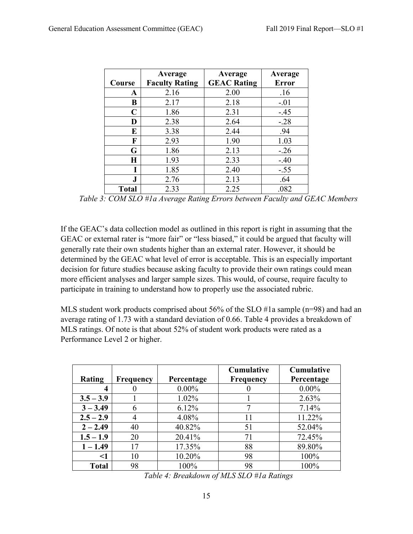|              | Average               | Average            | Average      |
|--------------|-----------------------|--------------------|--------------|
| Course       | <b>Faculty Rating</b> | <b>GEAC Rating</b> | <b>Error</b> |
| A            | 2.16                  | 2.00               | .16          |
| В            | 2.17                  | 2.18               | $-.01$       |
| C            | 1.86                  | 2.31               | $-.45$       |
| D            | 2.38                  | 2.64               | $-.28$       |
| E            | 3.38                  | 2.44               | .94          |
| F            | 2.93                  | 1.90               | 1.03         |
| G            | 1.86                  | 2.13               | $-.26$       |
| H            | 1.93                  | 2.33               | $-.40$       |
|              | 1.85                  | 2.40               | $-.55$       |
| ${\bf J}$    | 2.76                  | 2.13               | .64          |
| <b>Total</b> | 2.33                  | 2.25               | .082         |

*Table 3: COM SLO #1a Average Rating Errors between Faculty and GEAC Members*

If the GEAC's data collection model as outlined in this report is right in assuming that the GEAC or external rater is "more fair" or "less biased," it could be argued that faculty will generally rate their own students higher than an external rater. However, it should be determined by the GEAC what level of error is acceptable. This is an especially important decision for future studies because asking faculty to provide their own ratings could mean more efficient analyses and larger sample sizes. This would, of course, require faculty to participate in training to understand how to properly use the associated rubric.

MLS student work products comprised about 56% of the SLO #1a sample (n=98) and had an average rating of 1.73 with a standard deviation of 0.66. Table 4 provides a breakdown of MLS ratings. Of note is that about 52% of student work products were rated as a Performance Level 2 or higher.

| <b>Rating</b> | <b>Frequency</b> | Percentage | <b>Cumulative</b><br><b>Frequency</b> | <b>Cumulative</b><br>Percentage |
|---------------|------------------|------------|---------------------------------------|---------------------------------|
|               |                  | $0.00\%$   |                                       | $0.00\%$                        |
| $3.5 - 3.9$   |                  | 1.02%      |                                       | 2.63%                           |
| $3 - 3.49$    |                  | 6.12%      |                                       | 7.14%                           |
| $2.5 - 2.9$   |                  | 4.08%      | 11                                    | 11.22%                          |
| $2 - 2.49$    | 40               | 40.82%     | 51                                    | 52.04%                          |
| $1.5 - 1.9$   | 20               | 20.41%     | 71                                    | 72.45%                          |
| $1 - 1.49$    | 17               | 17.35%     | 88                                    | 89.80%                          |
| <1            | 10               | 10.20%     | 98                                    | 100%                            |
| <b>Total</b>  | 98               | 100%       | 98                                    | 100%                            |

*Table 4: Breakdown of MLS SLO #1a Ratings*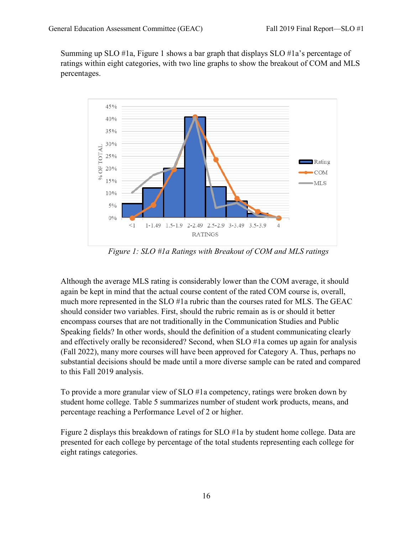Summing up SLO #1a, Figure 1 shows a bar graph that displays SLO #1a's percentage of ratings within eight categories, with two line graphs to show the breakout of COM and MLS percentages.



*Figure 1: SLO #1a Ratings with Breakout of COM and MLS ratings*

Although the average MLS rating is considerably lower than the COM average, it should again be kept in mind that the actual course content of the rated COM course is, overall, much more represented in the SLO #1a rubric than the courses rated for MLS. The GEAC should consider two variables. First, should the rubric remain as is or should it better encompass courses that are not traditionally in the Communication Studies and Public Speaking fields? In other words, should the definition of a student communicating clearly and effectively orally be reconsidered? Second, when SLO #1a comes up again for analysis (Fall 2022), many more courses will have been approved for Category A. Thus, perhaps no substantial decisions should be made until a more diverse sample can be rated and compared to this Fall 2019 analysis.

To provide a more granular view of SLO #1a competency, ratings were broken down by student home college. Table 5 summarizes number of student work products, means, and percentage reaching a Performance Level of 2 or higher.

Figure 2 displays this breakdown of ratings for SLO #1a by student home college. Data are presented for each college by percentage of the total students representing each college for eight ratings categories.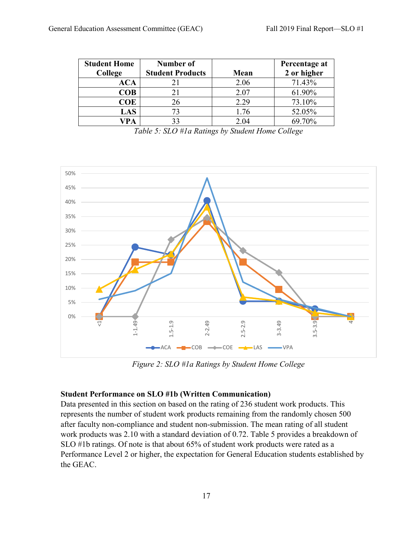| <b>Student Home</b> | Number of               |      | Percentage at |
|---------------------|-------------------------|------|---------------|
| College             | <b>Student Products</b> | Mean | 2 or higher   |
| ACA                 | 21                      | 2.06 | 71.43%        |
| <b>COB</b>          | 21                      | 2.07 | 61.90%        |
| COE                 | 26                      | 2.29 | 73.10%        |
| LAS                 | 73                      | 1.76 | 52.05%        |
| /PA                 | 33                      | 2.04 | 69.70%        |

*Table 5: SLO #1a Ratings by Student Home College*



*Figure 2: SLO #1a Ratings by Student Home College*

#### **Student Performance on SLO #1b (Written Communication)**

Data presented in this section on based on the rating of 236 student work products. This represents the number of student work products remaining from the randomly chosen 500 after faculty non-compliance and student non-submission. The mean rating of all student work products was 2.10 with a standard deviation of 0.72. Table 5 provides a breakdown of SLO #1b ratings. Of note is that about 65% of student work products were rated as a Performance Level 2 or higher, the expectation for General Education students established by the GEAC.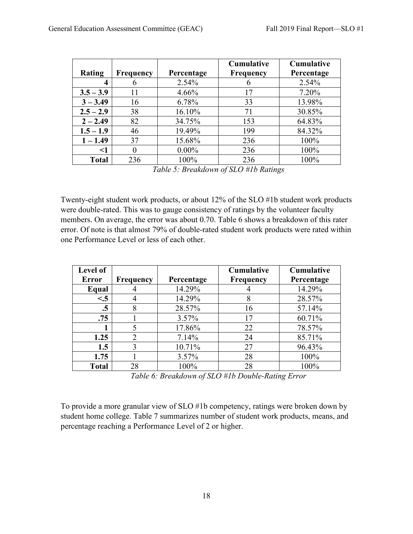|              |                  |            | <b>Cumulative</b> | <b>Cumulative</b> |
|--------------|------------------|------------|-------------------|-------------------|
| Rating       | <b>Frequency</b> | Percentage | <b>Frequency</b>  | Percentage        |
| 4            |                  | 2.54%      |                   | 2.54%             |
| $3.5 - 3.9$  | 11               | $4.66\%$   | 17                | 7.20%             |
| $3 - 3.49$   | 16               | 6.78%      | 33                | 13.98%            |
| $2.5 - 2.9$  | 38               | 16.10%     | 71                | 30.85%            |
| $2 - 2.49$   | 82               | 34.75%     | 153               | 64.83%            |
| $1.5 - 1.9$  | 46               | 19.49%     | 199               | 84.32%            |
| $1 - 1.49$   | 37               | 15.68%     | 236               | 100%              |
| <1           |                  | $0.00\%$   | 236               | 100%              |
| <b>Total</b> | 236              | 100%       | 236               | 100%              |

*Table 5: Breakdown of SLO #1b Ratings*

Twenty-eight student work products, or about 12% of the SLO #1b student work products were double-rated. This was to gauge consistency of ratings by the volunteer faculty members. On average, the error was about 0.70. Table 6 shows a breakdown of this rater error. Of note is that almost 79% of double-rated student work products were rated within one Performance Level or less of each other.

| Level of     |                  |            | <b>Cumulative</b> | Cumulative |
|--------------|------------------|------------|-------------------|------------|
| Error        | <b>Frequency</b> | Percentage | <b>Frequency</b>  | Percentage |
| Equal        |                  | 14.29%     |                   | 14.29%     |
| < 5          |                  | 14.29%     |                   | 28.57%     |
| $\cdot$ 5    | 8                | 28.57%     | 16                | 57.14%     |
| .75          |                  | $3.57\%$   | 17                | 60.71%     |
|              |                  | 17.86%     | 22                | 78.57%     |
| 1.25         | 2                | 7.14%      | 24                | 85.71%     |
| 1.5          | 3                | 10.71%     | 27                | 96.43%     |
| 1.75         |                  | $3.57\%$   | 28                | 100%       |
| <b>Total</b> | 28               | 100%       | 28                | 100%       |

*Table 6: Breakdown of SLO #1b Double-Rating Error*

To provide a more granular view of SLO #1b competency, ratings were broken down by student home college. Table 7 summarizes number of student work products, means, and percentage reaching a Performance Level of 2 or higher.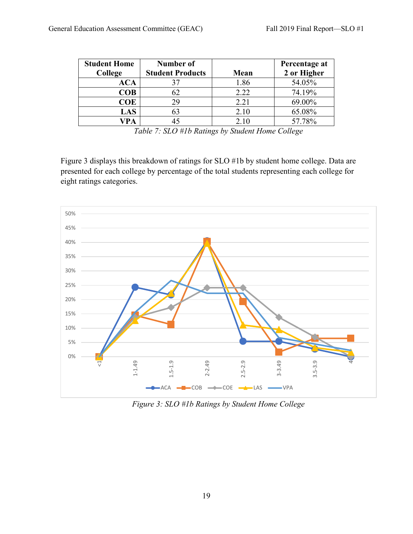| <b>Student Home</b> | Number of               |      | Percentage at |
|---------------------|-------------------------|------|---------------|
| College             | <b>Student Products</b> | Mean | 2 or Higher   |
| ACA                 | 37                      | 1.86 | 54.05%        |
| COB                 | 62                      | 2.22 | 74.19%        |
| <b>COE</b>          | 29                      | 2.21 | 69.00%        |
| LAS                 | 63                      | 2.10 | 65.08%        |
| /PA                 |                         | 2.10 | 57.78%        |

*Table 7: SLO #1b Ratings by Student Home College*

Figure 3 displays this breakdown of ratings for SLO #1b by student home college. Data are presented for each college by percentage of the total students representing each college for eight ratings categories.



*Figure 3: SLO #1b Ratings by Student Home College*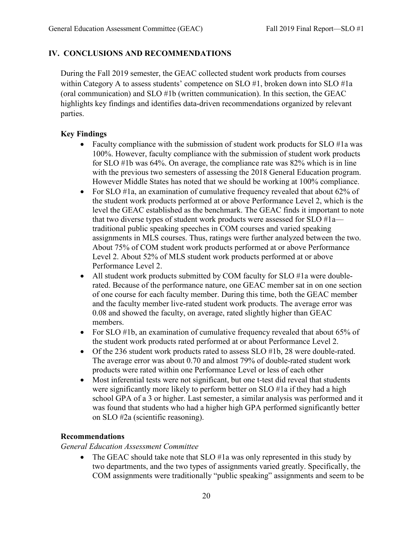# **IV. CONCLUSIONS AND RECOMMENDATIONS**

During the Fall 2019 semester, the GEAC collected student work products from courses within Category A to assess students' competence on SLO #1, broken down into SLO #1a (oral communication) and SLO #1b (written communication). In this section, the GEAC highlights key findings and identifies data-driven recommendations organized by relevant parties.

## **Key Findings**

- Faculty compliance with the submission of student work products for SLO #1a was 100%. However, faculty compliance with the submission of student work products for SLO #1b was 64%. On average, the compliance rate was 82% which is in line with the previous two semesters of assessing the 2018 General Education program. However Middle States has noted that we should be working at 100% compliance.
- For SLO #1a, an examination of cumulative frequency revealed that about 62% of the student work products performed at or above Performance Level 2, which is the level the GEAC established as the benchmark. The GEAC finds it important to note that two diverse types of student work products were assessed for SLO #1a traditional public speaking speeches in COM courses and varied speaking assignments in MLS courses. Thus, ratings were further analyzed between the two. About 75% of COM student work products performed at or above Performance Level 2. About 52% of MLS student work products performed at or above Performance Level 2.
- All student work products submitted by COM faculty for SLO #1a were doublerated. Because of the performance nature, one GEAC member sat in on one section of one course for each faculty member. During this time, both the GEAC member and the faculty member live-rated student work products. The average error was 0.08 and showed the faculty, on average, rated slightly higher than GEAC members.
- For SLO #1b, an examination of cumulative frequency revealed that about 65% of the student work products rated performed at or about Performance Level 2.
- Of the 236 student work products rated to assess SLO #1b, 28 were double-rated. The average error was about 0.70 and almost 79% of double-rated student work products were rated within one Performance Level or less of each other
- Most inferential tests were not significant, but one t-test did reveal that students were significantly more likely to perform better on SLO #1a if they had a high school GPA of a 3 or higher. Last semester, a similar analysis was performed and it was found that students who had a higher high GPA performed significantly better on SLO #2a (scientific reasoning).

## **Recommendations**

*General Education Assessment Committee*

The GEAC should take note that SLO #1a was only represented in this study by two departments, and the two types of assignments varied greatly. Specifically, the COM assignments were traditionally "public speaking" assignments and seem to be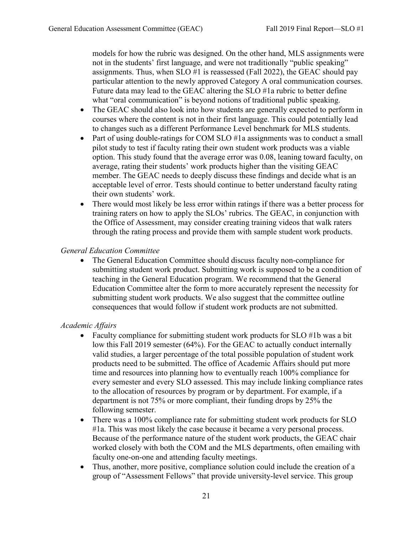models for how the rubric was designed. On the other hand, MLS assignments were not in the students' first language, and were not traditionally "public speaking" assignments. Thus, when SLO #1 is reassessed (Fall 2022), the GEAC should pay particular attention to the newly approved Category A oral communication courses. Future data may lead to the GEAC altering the SLO #1a rubric to better define what "oral communication" is beyond notions of traditional public speaking.

- The GEAC should also look into how students are generally expected to perform in courses where the content is not in their first language. This could potentially lead to changes such as a different Performance Level benchmark for MLS students.
- Part of using double-ratings for COM SLO #1a assignments was to conduct a small pilot study to test if faculty rating their own student work products was a viable option. This study found that the average error was 0.08, leaning toward faculty, on average, rating their students' work products higher than the visiting GEAC member. The GEAC needs to deeply discuss these findings and decide what is an acceptable level of error. Tests should continue to better understand faculty rating their own students' work.
- There would most likely be less error within ratings if there was a better process for training raters on how to apply the SLOs' rubrics. The GEAC, in conjunction with the Office of Assessment, may consider creating training videos that walk raters through the rating process and provide them with sample student work products.

#### *General Education Committee*

The General Education Committee should discuss faculty non-compliance for submitting student work product. Submitting work is supposed to be a condition of teaching in the General Education program. We recommend that the General Education Committee alter the form to more accurately represent the necessity for submitting student work products. We also suggest that the committee outline consequences that would follow if student work products are not submitted.

#### *Academic Affairs*

- Faculty compliance for submitting student work products for SLO #1b was a bit low this Fall 2019 semester (64%). For the GEAC to actually conduct internally valid studies, a larger percentage of the total possible population of student work products need to be submitted. The office of Academic Affairs should put more time and resources into planning how to eventually reach 100% compliance for every semester and every SLO assessed. This may include linking compliance rates to the allocation of resources by program or by department. For example, if a department is not 75% or more compliant, their funding drops by 25% the following semester.
- There was a 100% compliance rate for submitting student work products for SLO #1a. This was most likely the case because it became a very personal process. Because of the performance nature of the student work products, the GEAC chair worked closely with both the COM and the MLS departments, often emailing with faculty one-on-one and attending faculty meetings.
- Thus, another, more positive, compliance solution could include the creation of a group of "Assessment Fellows" that provide university-level service. This group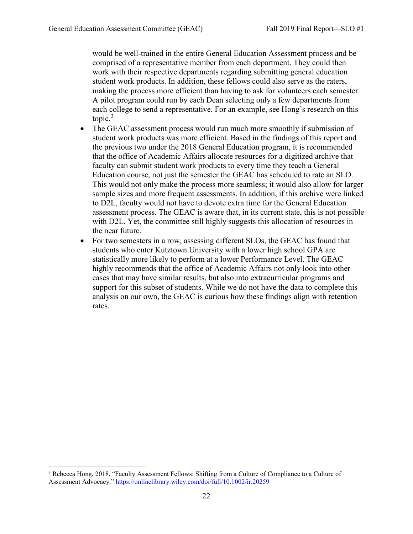would be well-trained in the entire General Education Assessment process and be comprised of a representative member from each department. They could then work with their respective departments regarding submitting general education student work products. In addition, these fellows could also serve as the raters, making the process more efficient than having to ask for volunteers each semester. A pilot program could run by each Dean selecting only a few departments from each college to send a representative. For an example, see Hong's research on this topic. $3$ 

- The GEAC assessment process would run much more smoothly if submission of student work products was more efficient. Based in the findings of this report and the previous two under the 2018 General Education program, it is recommended that the office of Academic Affairs allocate resources for a digitized archive that faculty can submit student work products to every time they teach a General Education course, not just the semester the GEAC has scheduled to rate an SLO. This would not only make the process more seamless; it would also allow for larger sample sizes and more frequent assessments. In addition, if this archive were linked to D2L, faculty would not have to devote extra time for the General Education assessment process. The GEAC is aware that, in its current state, this is not possible with D2L. Yet, the committee still highly suggests this allocation of resources in the near future.
- For two semesters in a row, assessing different SLOs, the GEAC has found that students who enter Kutztown University with a lower high school GPA are statistically more likely to perform at a lower Performance Level. The GEAC highly recommends that the office of Academic Affairs not only look into other cases that may have similar results, but also into extracurricular programs and support for this subset of students. While we do not have the data to complete this analysis on our own, the GEAC is curious how these findings align with retention rates.

<span id="page-21-0"></span> <sup>3</sup> Rebecca Hong, 2018, "Faculty Assessment Fellows: Shifting from a Culture of Compliance to a Culture of Assessment Advocacy.[" https://onlinelibrary.wiley.com/doi/full/10.1002/ir.20259](https://onlinelibrary.wiley.com/doi/full/10.1002/ir.20259)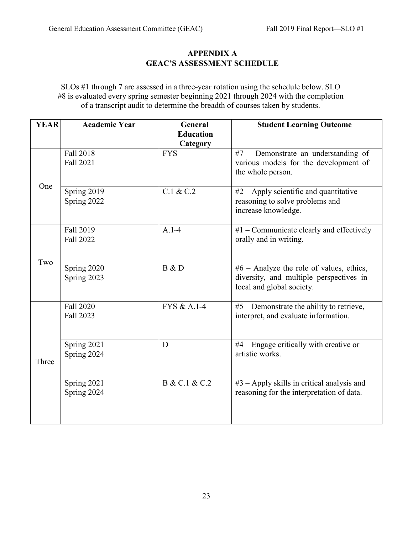## **APPENDIX A GEAC'S ASSESSMENT SCHEDULE**

SLOs #1 through 7 are assessed in a three-year rotation using the schedule below. SLO #8 is evaluated every spring semester beginning 2021 through 2024 with the completion of a transcript audit to determine the breadth of courses taken by students.

| <b>YEAR</b> | <b>Academic Year</b>       | General                | <b>Student Learning Outcome</b>                                                                                    |
|-------------|----------------------------|------------------------|--------------------------------------------------------------------------------------------------------------------|
|             |                            | <b>Education</b>       |                                                                                                                    |
|             | Fall 2018<br>Fall 2021     | Category<br><b>FYS</b> | $#7$ – Demonstrate an understanding of<br>various models for the development of<br>the whole person.               |
| One         | Spring 2019<br>Spring 2022 | C.1 & C.2              | $#2 - Apply$ scientific and quantitative<br>reasoning to solve problems and<br>increase knowledge.                 |
|             | Fall 2019<br>Fall 2022     | $A.1-4$                | $#1$ – Communicate clearly and effectively<br>orally and in writing.                                               |
| Two         | Spring 2020<br>Spring 2023 | B & D                  | $#6$ – Analyze the role of values, ethics,<br>diversity, and multiple perspectives in<br>local and global society. |
|             | Fall 2020<br>Fall 2023     | FYS & A.1-4            | $#5$ – Demonstrate the ability to retrieve,<br>interpret, and evaluate information.                                |
| Three       | Spring 2021<br>Spring 2024 | D                      | #4 - Engage critically with creative or<br>artistic works.                                                         |
|             | Spring 2021<br>Spring 2024 | B & C.1 & C.2          | #3 - Apply skills in critical analysis and<br>reasoning for the interpretation of data.                            |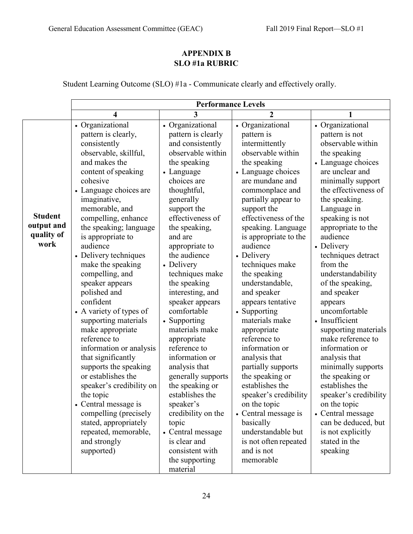# **APPENDIX B SLO #1a RUBRIC**

Student Learning Outcome (SLO) #1a - Communicate clearly and effectively orally.

|                                                    | <b>Performance Levels</b>                                                                                                                                                                                                                                                                                                                                                                                                                                                                                                                                                                                                                                                                                                                                           |                                                                                                                                                                                                                                                                                                                                                                                                                                                                                                                                                                                                                                                                    |                                                                                                                                                                                                                                                                                                                                                                                                                                                                                                                                                                                                                                                                                                          |                                                                                                                                                                                                                                                                                                                                                                                                                                                                                                                                                                                                                                                                                             |  |  |
|----------------------------------------------------|---------------------------------------------------------------------------------------------------------------------------------------------------------------------------------------------------------------------------------------------------------------------------------------------------------------------------------------------------------------------------------------------------------------------------------------------------------------------------------------------------------------------------------------------------------------------------------------------------------------------------------------------------------------------------------------------------------------------------------------------------------------------|--------------------------------------------------------------------------------------------------------------------------------------------------------------------------------------------------------------------------------------------------------------------------------------------------------------------------------------------------------------------------------------------------------------------------------------------------------------------------------------------------------------------------------------------------------------------------------------------------------------------------------------------------------------------|----------------------------------------------------------------------------------------------------------------------------------------------------------------------------------------------------------------------------------------------------------------------------------------------------------------------------------------------------------------------------------------------------------------------------------------------------------------------------------------------------------------------------------------------------------------------------------------------------------------------------------------------------------------------------------------------------------|---------------------------------------------------------------------------------------------------------------------------------------------------------------------------------------------------------------------------------------------------------------------------------------------------------------------------------------------------------------------------------------------------------------------------------------------------------------------------------------------------------------------------------------------------------------------------------------------------------------------------------------------------------------------------------------------|--|--|
|                                                    | 4                                                                                                                                                                                                                                                                                                                                                                                                                                                                                                                                                                                                                                                                                                                                                                   | 3                                                                                                                                                                                                                                                                                                                                                                                                                                                                                                                                                                                                                                                                  | $\overline{2}$                                                                                                                                                                                                                                                                                                                                                                                                                                                                                                                                                                                                                                                                                           | 1                                                                                                                                                                                                                                                                                                                                                                                                                                                                                                                                                                                                                                                                                           |  |  |
| <b>Student</b><br>output and<br>quality of<br>work | • Organizational<br>pattern is clearly,<br>consistently<br>observable, skillful,<br>and makes the<br>content of speaking<br>cohesive<br>• Language choices are<br>imaginative,<br>memorable, and<br>compelling, enhance<br>the speaking; language<br>is appropriate to<br>audience<br>• Delivery techniques<br>make the speaking<br>compelling, and<br>speaker appears<br>polished and<br>confident<br>• A variety of types of<br>supporting materials<br>make appropriate<br>reference to<br>information or analysis<br>that significantly<br>supports the speaking<br>or establishes the<br>speaker's credibility on<br>the topic<br>• Central message is<br>compelling (precisely<br>stated, appropriately<br>repeated, memorable,<br>and strongly<br>supported) | • Organizational<br>pattern is clearly<br>and consistently<br>observable within<br>the speaking<br>• Language<br>choices are<br>thoughtful,<br>generally<br>support the<br>effectiveness of<br>the speaking,<br>and are<br>appropriate to<br>the audience<br>• Delivery<br>techniques make<br>the speaking<br>interesting, and<br>speaker appears<br>comfortable<br>• Supporting<br>materials make<br>appropriate<br>reference to<br>information or<br>analysis that<br>generally supports<br>the speaking or<br>establishes the<br>speaker's<br>credibility on the<br>topic<br>• Central message<br>is clear and<br>consistent with<br>the supporting<br>material | • Organizational<br>pattern is<br>intermittently<br>observable within<br>the speaking<br>• Language choices<br>are mundane and<br>commonplace and<br>partially appear to<br>support the<br>effectiveness of the<br>speaking. Language<br>is appropriate to the<br>audience<br>• Delivery<br>techniques make<br>the speaking<br>understandable,<br>and speaker<br>appears tentative<br>Supporting<br>materials make<br>appropriate<br>reference to<br>information or<br>analysis that<br>partially supports<br>the speaking or<br>establishes the<br>speaker's credibility<br>on the topic<br>• Central message is<br>basically<br>understandable but<br>is not often repeated<br>and is not<br>memorable | • Organizational<br>pattern is not<br>observable within<br>the speaking<br>• Language choices<br>are unclear and<br>minimally support<br>the effectiveness of<br>the speaking.<br>Language in<br>speaking is not<br>appropriate to the<br>audience<br>• Delivery<br>techniques detract<br>from the<br>understandability<br>of the speaking,<br>and speaker<br>appears<br>uncomfortable<br>• Insufficient<br>supporting materials<br>make reference to<br>information or<br>analysis that<br>minimally supports<br>the speaking or<br>establishes the<br>speaker's credibility<br>on the topic<br>• Central message<br>can be deduced, but<br>is not explicitly<br>stated in the<br>speaking |  |  |